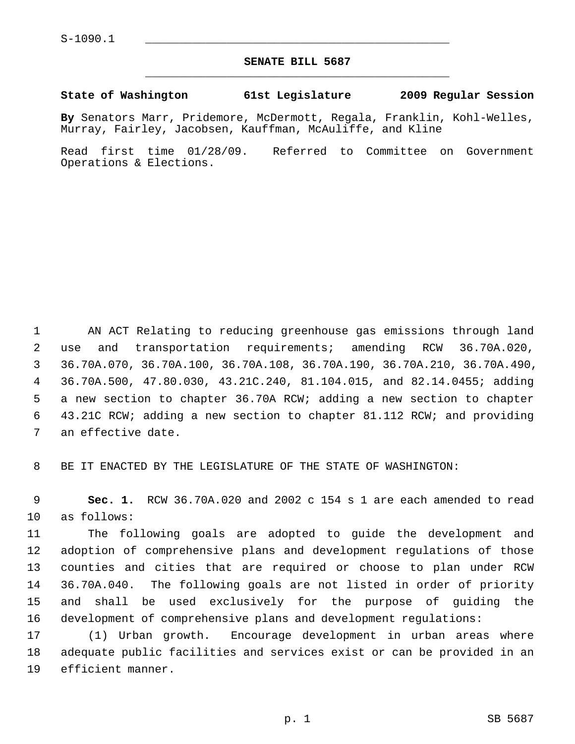## **SENATE BILL 5687** \_\_\_\_\_\_\_\_\_\_\_\_\_\_\_\_\_\_\_\_\_\_\_\_\_\_\_\_\_\_\_\_\_\_\_\_\_\_\_\_\_\_\_\_\_

## **State of Washington 61st Legislature 2009 Regular Session**

**By** Senators Marr, Pridemore, McDermott, Regala, Franklin, Kohl-Welles, Murray, Fairley, Jacobsen, Kauffman, McAuliffe, and Kline

Read first time 01/28/09. Referred to Committee on Government Operations & Elections.

 1 AN ACT Relating to reducing greenhouse gas emissions through land 2 use and transportation requirements; amending RCW 36.70A.020, 3 36.70A.070, 36.70A.100, 36.70A.108, 36.70A.190, 36.70A.210, 36.70A.490, 4 36.70A.500, 47.80.030, 43.21C.240, 81.104.015, and 82.14.0455; adding 5 a new section to chapter 36.70A RCW; adding a new section to chapter 6 43.21C RCW; adding a new section to chapter 81.112 RCW; and providing 7 an effective date.

8 BE IT ENACTED BY THE LEGISLATURE OF THE STATE OF WASHINGTON:

 9 **Sec. 1.** RCW 36.70A.020 and 2002 c 154 s 1 are each amended to read 10 as follows:

11 The following goals are adopted to guide the development and 12 adoption of comprehensive plans and development regulations of those 13 counties and cities that are required or choose to plan under RCW 14 36.70A.040. The following goals are not listed in order of priority 15 and shall be used exclusively for the purpose of guiding the 16 development of comprehensive plans and development regulations:

17 (1) Urban growth. Encourage development in urban areas where 18 adequate public facilities and services exist or can be provided in an 19 efficient manner.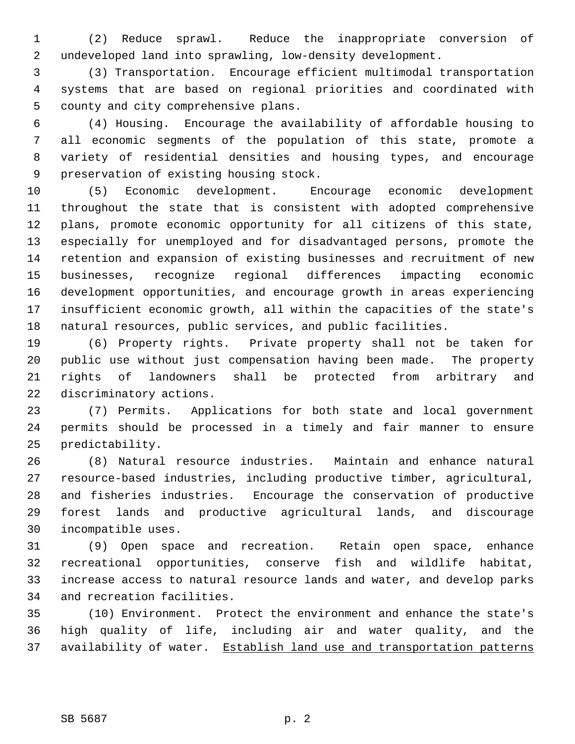1 (2) Reduce sprawl. Reduce the inappropriate conversion of 2 undeveloped land into sprawling, low-density development.

 3 (3) Transportation. Encourage efficient multimodal transportation 4 systems that are based on regional priorities and coordinated with 5 county and city comprehensive plans.

 6 (4) Housing. Encourage the availability of affordable housing to 7 all economic segments of the population of this state, promote a 8 variety of residential densities and housing types, and encourage 9 preservation of existing housing stock.

10 (5) Economic development. Encourage economic development 11 throughout the state that is consistent with adopted comprehensive 12 plans, promote economic opportunity for all citizens of this state, 13 especially for unemployed and for disadvantaged persons, promote the 14 retention and expansion of existing businesses and recruitment of new 15 businesses, recognize regional differences impacting economic 16 development opportunities, and encourage growth in areas experiencing 17 insufficient economic growth, all within the capacities of the state's 18 natural resources, public services, and public facilities.

19 (6) Property rights. Private property shall not be taken for 20 public use without just compensation having been made. The property 21 rights of landowners shall be protected from arbitrary and 22 discriminatory actions.

23 (7) Permits. Applications for both state and local government 24 permits should be processed in a timely and fair manner to ensure 25 predictability.

26 (8) Natural resource industries. Maintain and enhance natural 27 resource-based industries, including productive timber, agricultural, 28 and fisheries industries. Encourage the conservation of productive 29 forest lands and productive agricultural lands, and discourage 30 incompatible uses.

31 (9) Open space and recreation. Retain open space, enhance 32 recreational opportunities, conserve fish and wildlife habitat, 33 increase access to natural resource lands and water, and develop parks 34 and recreation facilities.

35 (10) Environment. Protect the environment and enhance the state's 36 high quality of life, including air and water quality, and the 37 availability of water. Establish land use and transportation patterns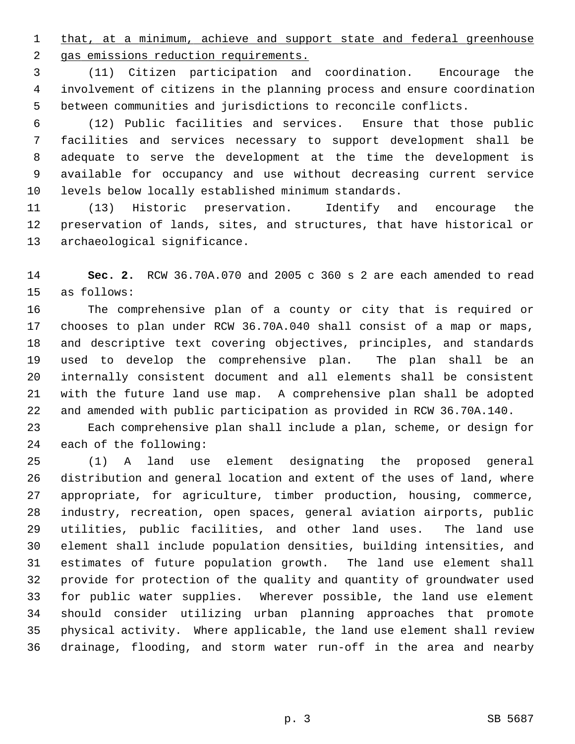1 that, at a minimum, achieve and support state and federal greenhouse 2 gas emissions reduction requirements.

 3 (11) Citizen participation and coordination. Encourage the 4 involvement of citizens in the planning process and ensure coordination 5 between communities and jurisdictions to reconcile conflicts.

 6 (12) Public facilities and services. Ensure that those public 7 facilities and services necessary to support development shall be 8 adequate to serve the development at the time the development is 9 available for occupancy and use without decreasing current service 10 levels below locally established minimum standards.

11 (13) Historic preservation. Identify and encourage the 12 preservation of lands, sites, and structures, that have historical or 13 archaeological significance.

14 **Sec. 2.** RCW 36.70A.070 and 2005 c 360 s 2 are each amended to read 15 as follows:

16 The comprehensive plan of a county or city that is required or 17 chooses to plan under RCW 36.70A.040 shall consist of a map or maps, 18 and descriptive text covering objectives, principles, and standards 19 used to develop the comprehensive plan. The plan shall be an 20 internally consistent document and all elements shall be consistent 21 with the future land use map. A comprehensive plan shall be adopted 22 and amended with public participation as provided in RCW 36.70A.140.

23 Each comprehensive plan shall include a plan, scheme, or design for 24 each of the following:

25 (1) A land use element designating the proposed general 26 distribution and general location and extent of the uses of land, where 27 appropriate, for agriculture, timber production, housing, commerce, 28 industry, recreation, open spaces, general aviation airports, public 29 utilities, public facilities, and other land uses. The land use 30 element shall include population densities, building intensities, and 31 estimates of future population growth. The land use element shall 32 provide for protection of the quality and quantity of groundwater used 33 for public water supplies. Wherever possible, the land use element 34 should consider utilizing urban planning approaches that promote 35 physical activity. Where applicable, the land use element shall review 36 drainage, flooding, and storm water run-off in the area and nearby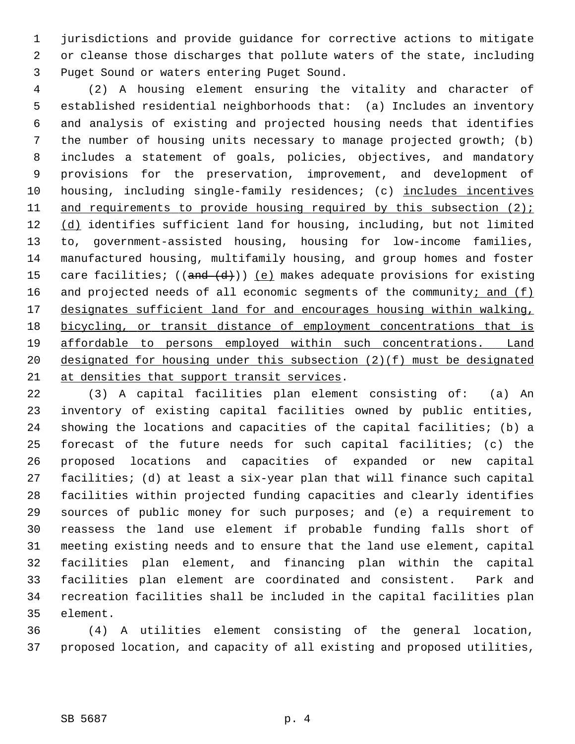1 jurisdictions and provide guidance for corrective actions to mitigate 2 or cleanse those discharges that pollute waters of the state, including 3 Puget Sound or waters entering Puget Sound.

 4 (2) A housing element ensuring the vitality and character of 5 established residential neighborhoods that: (a) Includes an inventory 6 and analysis of existing and projected housing needs that identifies 7 the number of housing units necessary to manage projected growth; (b) 8 includes a statement of goals, policies, objectives, and mandatory 9 provisions for the preservation, improvement, and development of 10 housing, including single-family residences; (c) includes incentives 11 and requirements to provide housing required by this subsection (2); 12 (d) identifies sufficient land for housing, including, but not limited 13 to, government-assisted housing, housing for low-income families, 14 manufactured housing, multifamily housing, and group homes and foster 15 care facilities;  $((and (d)))(e)$  makes adequate provisions for existing 16 and projected needs of all economic segments of the community; and (f) 17 designates sufficient land for and encourages housing within walking, 18 bicycling, or transit distance of employment concentrations that is 19 affordable to persons employed within such concentrations. Land 20 designated for housing under this subsection (2)(f) must be designated 21 at densities that support transit services.

22 (3) A capital facilities plan element consisting of: (a) An 23 inventory of existing capital facilities owned by public entities, 24 showing the locations and capacities of the capital facilities; (b) a 25 forecast of the future needs for such capital facilities; (c) the 26 proposed locations and capacities of expanded or new capital 27 facilities; (d) at least a six-year plan that will finance such capital 28 facilities within projected funding capacities and clearly identifies 29 sources of public money for such purposes; and (e) a requirement to 30 reassess the land use element if probable funding falls short of 31 meeting existing needs and to ensure that the land use element, capital 32 facilities plan element, and financing plan within the capital 33 facilities plan element are coordinated and consistent. Park and 34 recreation facilities shall be included in the capital facilities plan 35 element.

36 (4) A utilities element consisting of the general location, 37 proposed location, and capacity of all existing and proposed utilities,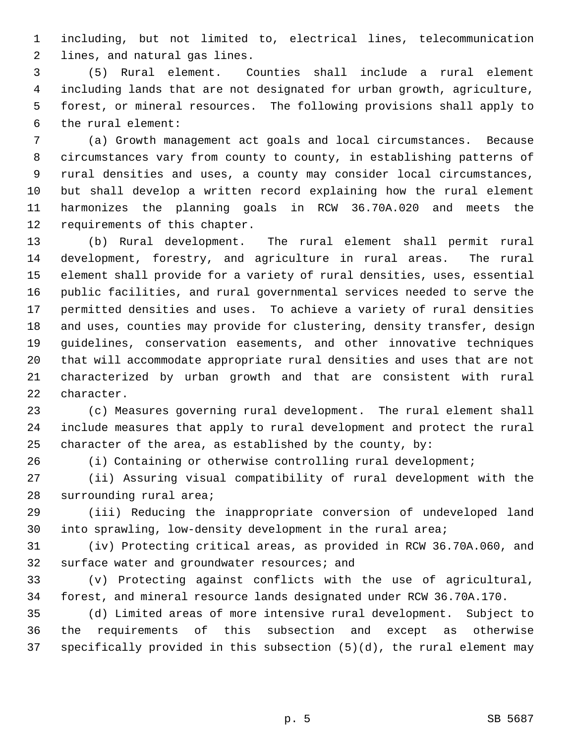1 including, but not limited to, electrical lines, telecommunication 2 lines, and natural gas lines.

 3 (5) Rural element. Counties shall include a rural element 4 including lands that are not designated for urban growth, agriculture, 5 forest, or mineral resources. The following provisions shall apply to 6 the rural element:

 7 (a) Growth management act goals and local circumstances. Because 8 circumstances vary from county to county, in establishing patterns of 9 rural densities and uses, a county may consider local circumstances, 10 but shall develop a written record explaining how the rural element 11 harmonizes the planning goals in RCW 36.70A.020 and meets the 12 requirements of this chapter.

13 (b) Rural development. The rural element shall permit rural 14 development, forestry, and agriculture in rural areas. The rural 15 element shall provide for a variety of rural densities, uses, essential 16 public facilities, and rural governmental services needed to serve the 17 permitted densities and uses. To achieve a variety of rural densities 18 and uses, counties may provide for clustering, density transfer, design 19 guidelines, conservation easements, and other innovative techniques 20 that will accommodate appropriate rural densities and uses that are not 21 characterized by urban growth and that are consistent with rural 22 character.

23 (c) Measures governing rural development. The rural element shall 24 include measures that apply to rural development and protect the rural 25 character of the area, as established by the county, by:

26 (i) Containing or otherwise controlling rural development;

27 (ii) Assuring visual compatibility of rural development with the 28 surrounding rural area;

29 (iii) Reducing the inappropriate conversion of undeveloped land 30 into sprawling, low-density development in the rural area;

31 (iv) Protecting critical areas, as provided in RCW 36.70A.060, and 32 surface water and groundwater resources; and

33 (v) Protecting against conflicts with the use of agricultural, 34 forest, and mineral resource lands designated under RCW 36.70A.170.

35 (d) Limited areas of more intensive rural development. Subject to 36 the requirements of this subsection and except as otherwise 37 specifically provided in this subsection (5)(d), the rural element may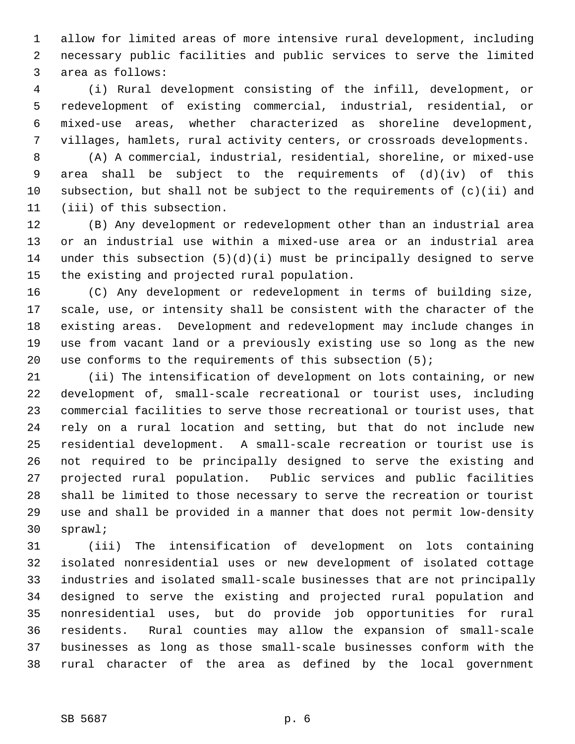1 allow for limited areas of more intensive rural development, including 2 necessary public facilities and public services to serve the limited 3 area as follows:

 4 (i) Rural development consisting of the infill, development, or 5 redevelopment of existing commercial, industrial, residential, or 6 mixed-use areas, whether characterized as shoreline development, 7 villages, hamlets, rural activity centers, or crossroads developments.

 8 (A) A commercial, industrial, residential, shoreline, or mixed-use 9 area shall be subject to the requirements of (d)(iv) of this 10 subsection, but shall not be subject to the requirements of  $(c)(ii)$  and 11 (iii) of this subsection.

12 (B) Any development or redevelopment other than an industrial area 13 or an industrial use within a mixed-use area or an industrial area 14 under this subsection (5)(d)(i) must be principally designed to serve 15 the existing and projected rural population.

16 (C) Any development or redevelopment in terms of building size, 17 scale, use, or intensity shall be consistent with the character of the 18 existing areas. Development and redevelopment may include changes in 19 use from vacant land or a previously existing use so long as the new 20 use conforms to the requirements of this subsection (5);

21 (ii) The intensification of development on lots containing, or new 22 development of, small-scale recreational or tourist uses, including 23 commercial facilities to serve those recreational or tourist uses, that 24 rely on a rural location and setting, but that do not include new 25 residential development. A small-scale recreation or tourist use is 26 not required to be principally designed to serve the existing and 27 projected rural population. Public services and public facilities 28 shall be limited to those necessary to serve the recreation or tourist 29 use and shall be provided in a manner that does not permit low-density 30 sprawl;

31 (iii) The intensification of development on lots containing 32 isolated nonresidential uses or new development of isolated cottage 33 industries and isolated small-scale businesses that are not principally 34 designed to serve the existing and projected rural population and 35 nonresidential uses, but do provide job opportunities for rural 36 residents. Rural counties may allow the expansion of small-scale 37 businesses as long as those small-scale businesses conform with the 38 rural character of the area as defined by the local government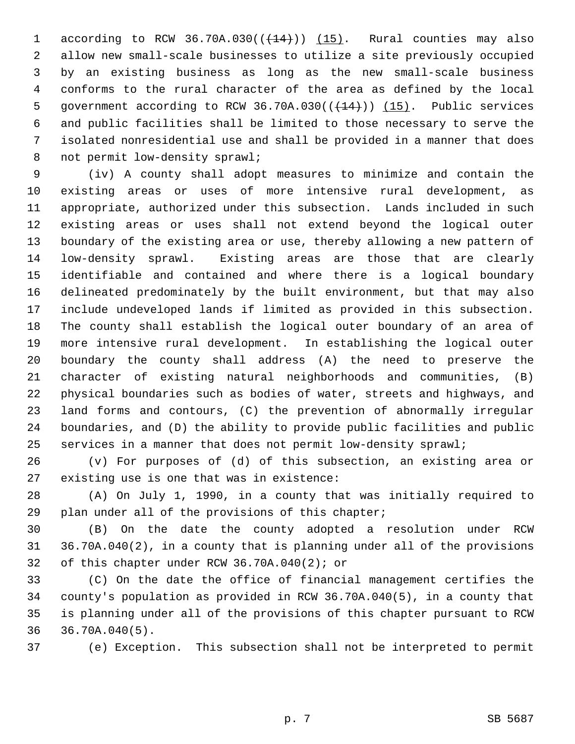1 according to RCW  $36.70A.030((+14))$  (15). Rural counties may also 2 allow new small-scale businesses to utilize a site previously occupied 3 by an existing business as long as the new small-scale business 4 conforms to the rural character of the area as defined by the local 5 government according to RCW 36.70A.030( $(\frac{14}{1})$ ) (15). Public services 6 and public facilities shall be limited to those necessary to serve the 7 isolated nonresidential use and shall be provided in a manner that does 8 not permit low-density sprawl;

 9 (iv) A county shall adopt measures to minimize and contain the 10 existing areas or uses of more intensive rural development, as 11 appropriate, authorized under this subsection. Lands included in such 12 existing areas or uses shall not extend beyond the logical outer 13 boundary of the existing area or use, thereby allowing a new pattern of 14 low-density sprawl. Existing areas are those that are clearly 15 identifiable and contained and where there is a logical boundary 16 delineated predominately by the built environment, but that may also 17 include undeveloped lands if limited as provided in this subsection. 18 The county shall establish the logical outer boundary of an area of 19 more intensive rural development. In establishing the logical outer 20 boundary the county shall address (A) the need to preserve the 21 character of existing natural neighborhoods and communities, (B) 22 physical boundaries such as bodies of water, streets and highways, and 23 land forms and contours, (C) the prevention of abnormally irregular 24 boundaries, and (D) the ability to provide public facilities and public 25 services in a manner that does not permit low-density sprawl;

26 (v) For purposes of (d) of this subsection, an existing area or 27 existing use is one that was in existence:

28 (A) On July 1, 1990, in a county that was initially required to 29 plan under all of the provisions of this chapter;

30 (B) On the date the county adopted a resolution under RCW 31 36.70A.040(2), in a county that is planning under all of the provisions 32 of this chapter under RCW 36.70A.040(2); or

33 (C) On the date the office of financial management certifies the 34 county's population as provided in RCW 36.70A.040(5), in a county that 35 is planning under all of the provisions of this chapter pursuant to RCW 36 36.70A.040(5).

37 (e) Exception. This subsection shall not be interpreted to permit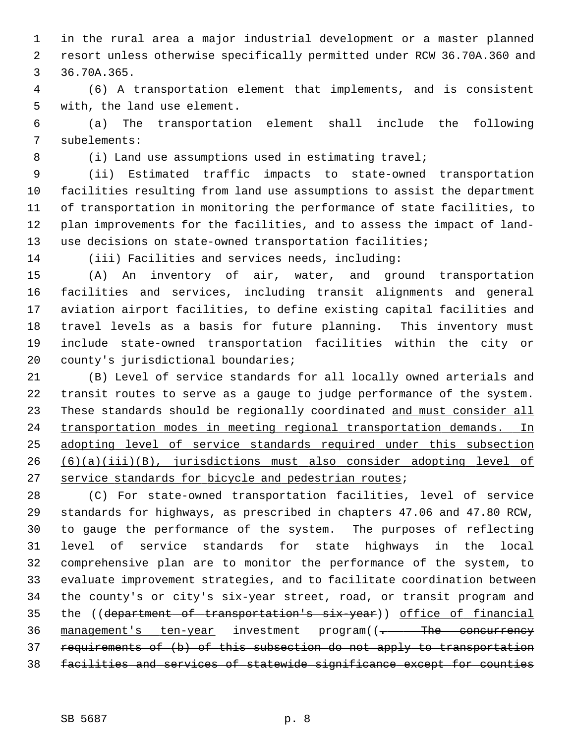1 in the rural area a major industrial development or a master planned 2 resort unless otherwise specifically permitted under RCW 36.70A.360 and 3 36.70A.365.

 4 (6) A transportation element that implements, and is consistent 5 with, the land use element.

 6 (a) The transportation element shall include the following 7 subelements:

8 (i) Land use assumptions used in estimating travel;

 9 (ii) Estimated traffic impacts to state-owned transportation 10 facilities resulting from land use assumptions to assist the department 11 of transportation in monitoring the performance of state facilities, to 12 plan improvements for the facilities, and to assess the impact of land-13 use decisions on state-owned transportation facilities;

14 (iii) Facilities and services needs, including:

15 (A) An inventory of air, water, and ground transportation 16 facilities and services, including transit alignments and general 17 aviation airport facilities, to define existing capital facilities and 18 travel levels as a basis for future planning. This inventory must 19 include state-owned transportation facilities within the city or 20 county's jurisdictional boundaries;

21 (B) Level of service standards for all locally owned arterials and 22 transit routes to serve as a gauge to judge performance of the system. 23 These standards should be regionally coordinated and must consider all 24 transportation modes in meeting regional transportation demands. In 25 adopting level of service standards required under this subsection 26 (6)(a)(iii)(B), jurisdictions must also consider adopting level of 27 service standards for bicycle and pedestrian routes;

28 (C) For state-owned transportation facilities, level of service 29 standards for highways, as prescribed in chapters 47.06 and 47.80 RCW, 30 to gauge the performance of the system. The purposes of reflecting 31 level of service standards for state highways in the local 32 comprehensive plan are to monitor the performance of the system, to 33 evaluate improvement strategies, and to facilitate coordination between 34 the county's or city's six-year street, road, or transit program and 35 the ((department of transportation's six-year)) office of financial 36 management's ten-year investment program((. The concurrency 37 requirements of (b) of this subsection do not apply to transportation 38 facilities and services of statewide significance except for counties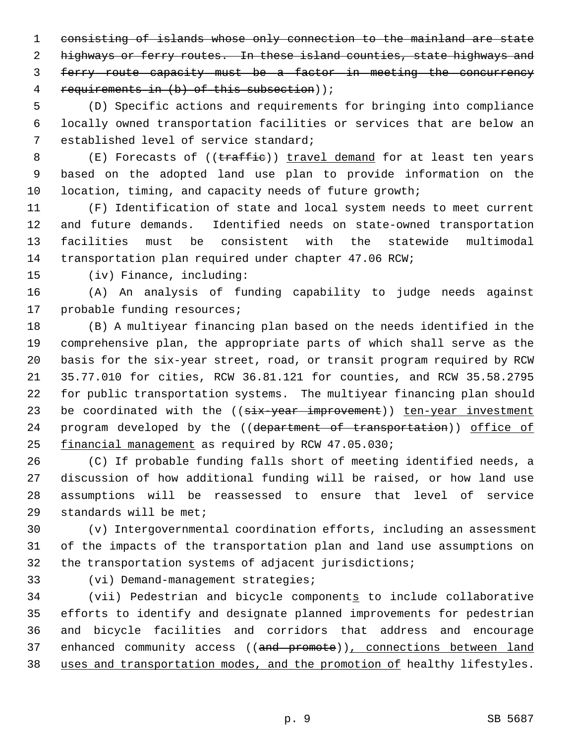1 consisting of islands whose only connection to the mainland are state

2 highways or ferry routes. In these island counties, state highways and

 3 ferry route capacity must be a factor in meeting the concurrency 4 requirements in (b) of this subsection) ;

 5 (D) Specific actions and requirements for bringing into compliance 6 locally owned transportation facilities or services that are below an 7 established level of service standard;

8 (E) Forecasts of ((traffic)) travel demand for at least ten years 9 based on the adopted land use plan to provide information on the 10 location, timing, and capacity needs of future growth;

11 (F) Identification of state and local system needs to meet current 12 and future demands. Identified needs on state-owned transportation 13 facilities must be consistent with the statewide multimodal 14 transportation plan required under chapter 47.06 RCW;

15 (iv) Finance, including:

16 (A) An analysis of funding capability to judge needs against 17 probable funding resources;

18 (B) A multiyear financing plan based on the needs identified in the 19 comprehensive plan, the appropriate parts of which shall serve as the 20 basis for the six-year street, road, or transit program required by RCW 21 35.77.010 for cities, RCW 36.81.121 for counties, and RCW 35.58.2795 22 for public transportation systems. The multiyear financing plan should 23 be coordinated with the ((six-year improvement)) ten-year investment 24 program developed by the ((department of transportation)) office of 25 financial management as required by RCW 47.05.030;

26 (C) If probable funding falls short of meeting identified needs, a 27 discussion of how additional funding will be raised, or how land use 28 assumptions will be reassessed to ensure that level of service 29 standards will be met;

30 (v) Intergovernmental coordination efforts, including an assessment 31 of the impacts of the transportation plan and land use assumptions on 32 the transportation systems of adjacent jurisdictions;

33 (vi) Demand-management strategies;

34 (vii) Pedestrian and bicycle components to include collaborative 35 efforts to identify and designate planned improvements for pedestrian 36 and bicycle facilities and corridors that address and encourage 37 enhanced community access ((and promote)), connections between land 38 uses and transportation modes, and the promotion of healthy lifestyles.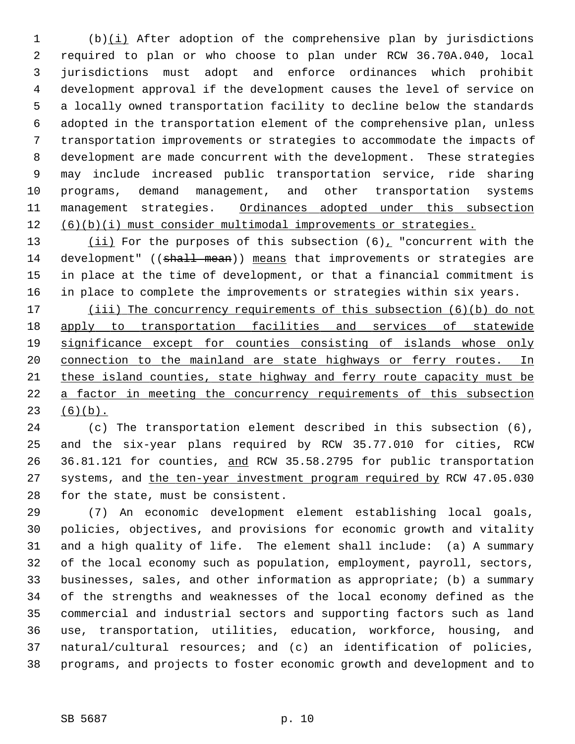1 (b)(i) After adoption of the comprehensive plan by jurisdictions 2 required to plan or who choose to plan under RCW 36.70A.040, local 3 jurisdictions must adopt and enforce ordinances which prohibit 4 development approval if the development causes the level of service on 5 a locally owned transportation facility to decline below the standards 6 adopted in the transportation element of the comprehensive plan, unless 7 transportation improvements or strategies to accommodate the impacts of 8 development are made concurrent with the development. These strategies 9 may include increased public transportation service, ride sharing 10 programs, demand management, and other transportation systems 11 management strategies. Ordinances adopted under this subsection 12 (6)(b)(i) must consider multimodal improvements or strategies.

13 (ii) For the purposes of this subsection  $(6)_L$  "concurrent with the 14 development" ((shall mean)) means that improvements or strategies are 15 in place at the time of development, or that a financial commitment is 16 in place to complete the improvements or strategies within six years.

 (iii) The concurrency requirements of this subsection (6)(b) do not apply to transportation facilities and services of statewide significance except for counties consisting of islands whose only connection to the mainland are state highways or ferry routes. In these island counties, state highway and ferry route capacity must be a factor in meeting the concurrency requirements of this subsection 23 (6)(b).

24 (c) The transportation element described in this subsection (6), 25 and the six-year plans required by RCW 35.77.010 for cities, RCW 26 36.81.121 for counties, and RCW 35.58.2795 for public transportation 27 systems, and the ten-year investment program required by RCW 47.05.030 28 for the state, must be consistent.

29 (7) An economic development element establishing local goals, 30 policies, objectives, and provisions for economic growth and vitality 31 and a high quality of life. The element shall include: (a) A summary 32 of the local economy such as population, employment, payroll, sectors, 33 businesses, sales, and other information as appropriate; (b) a summary 34 of the strengths and weaknesses of the local economy defined as the 35 commercial and industrial sectors and supporting factors such as land 36 use, transportation, utilities, education, workforce, housing, and 37 natural/cultural resources; and (c) an identification of policies, 38 programs, and projects to foster economic growth and development and to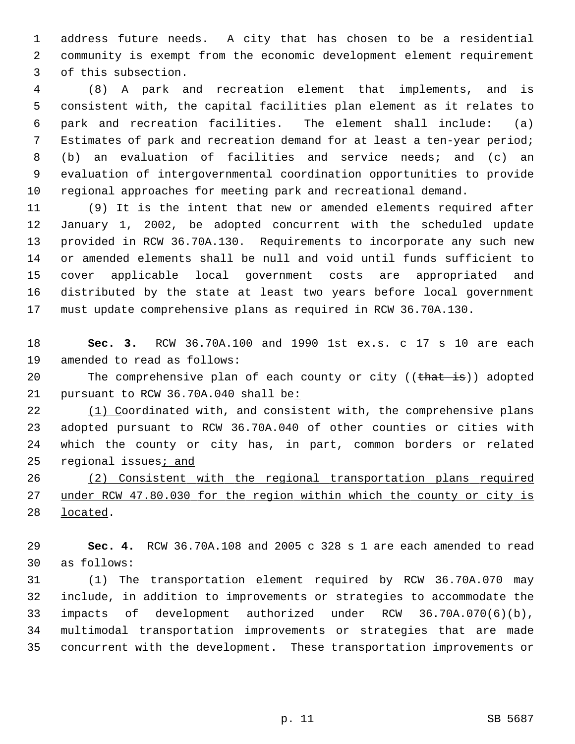1 address future needs. A city that has chosen to be a residential 2 community is exempt from the economic development element requirement 3 of this subsection.

 4 (8) A park and recreation element that implements, and is 5 consistent with, the capital facilities plan element as it relates to 6 park and recreation facilities. The element shall include: (a) 7 Estimates of park and recreation demand for at least a ten-year period; 8 (b) an evaluation of facilities and service needs; and (c) an 9 evaluation of intergovernmental coordination opportunities to provide 10 regional approaches for meeting park and recreational demand.

11 (9) It is the intent that new or amended elements required after 12 January 1, 2002, be adopted concurrent with the scheduled update 13 provided in RCW 36.70A.130. Requirements to incorporate any such new 14 or amended elements shall be null and void until funds sufficient to 15 cover applicable local government costs are appropriated and 16 distributed by the state at least two years before local government 17 must update comprehensive plans as required in RCW 36.70A.130.

18 **Sec. 3.** RCW 36.70A.100 and 1990 1st ex.s. c 17 s 10 are each 19 amended to read as follows:

20 The comprehensive plan of each county or city ((that is)) adopted 21 pursuant to RCW 36.70A.040 shall be:

22 (1) Coordinated with, and consistent with, the comprehensive plans 23 adopted pursuant to RCW 36.70A.040 of other counties or cities with 24 which the county or city has, in part, common borders or related 25 regional issues; and

26 (2) Consistent with the regional transportation plans required 27 under RCW 47.80.030 for the region within which the county or city is 28 located.

29 **Sec. 4.** RCW 36.70A.108 and 2005 c 328 s 1 are each amended to read 30 as follows:

31 (1) The transportation element required by RCW 36.70A.070 may 32 include, in addition to improvements or strategies to accommodate the 33 impacts of development authorized under RCW 36.70A.070(6)(b), 34 multimodal transportation improvements or strategies that are made 35 concurrent with the development. These transportation improvements or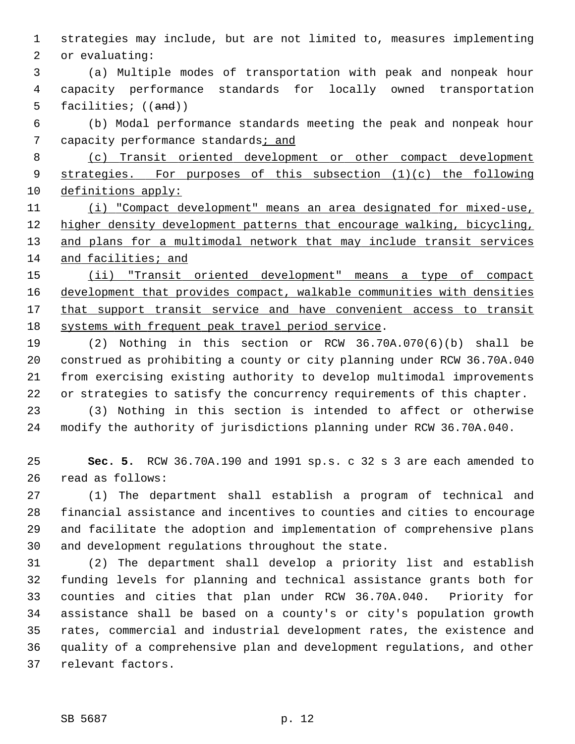1 strategies may include, but are not limited to, measures implementing 2 or evaluating:

 3 (a) Multiple modes of transportation with peak and nonpeak hour 4 capacity performance standards for locally owned transportation 5 facilities; ((and))

 6 (b) Modal performance standards meeting the peak and nonpeak hour 7 capacity performance standards; and

 8 (c) Transit oriented development or other compact development 9 strategies. For purposes of this subsection (1)(c) the following 10 definitions apply:

 (i) "Compact development" means an area designated for mixed-use, higher density development patterns that encourage walking, bicycling, and plans for a multimodal network that may include transit services and facilities; and

 (ii) "Transit oriented development" means a type of compact 16 development that provides compact, walkable communities with densities that support transit service and have convenient access to transit systems with frequent peak travel period service.

19 (2) Nothing in this section or RCW 36.70A.070(6)(b) shall be 20 construed as prohibiting a county or city planning under RCW 36.70A.040 21 from exercising existing authority to develop multimodal improvements 22 or strategies to satisfy the concurrency requirements of this chapter.

23 (3) Nothing in this section is intended to affect or otherwise 24 modify the authority of jurisdictions planning under RCW 36.70A.040.

25 **Sec. 5.** RCW 36.70A.190 and 1991 sp.s. c 32 s 3 are each amended to 26 read as follows:

27 (1) The department shall establish a program of technical and 28 financial assistance and incentives to counties and cities to encourage 29 and facilitate the adoption and implementation of comprehensive plans 30 and development regulations throughout the state.

31 (2) The department shall develop a priority list and establish 32 funding levels for planning and technical assistance grants both for 33 counties and cities that plan under RCW 36.70A.040. Priority for 34 assistance shall be based on a county's or city's population growth 35 rates, commercial and industrial development rates, the existence and 36 quality of a comprehensive plan and development regulations, and other 37 relevant factors.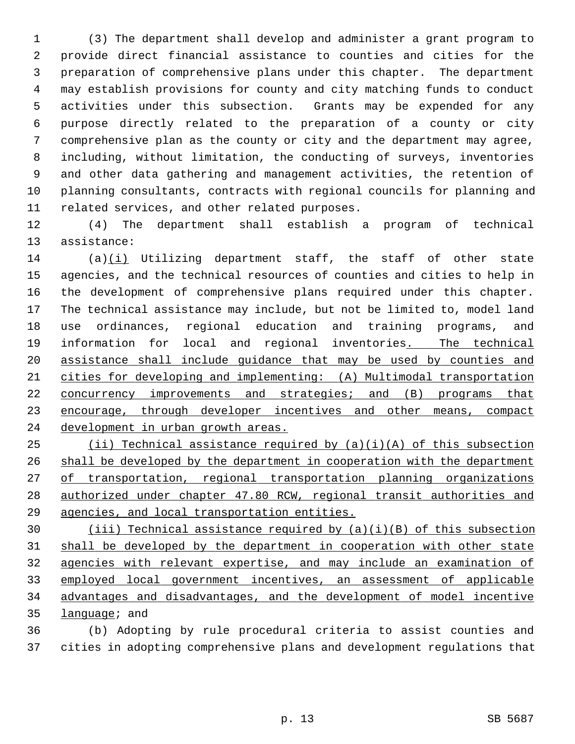1 (3) The department shall develop and administer a grant program to 2 provide direct financial assistance to counties and cities for the 3 preparation of comprehensive plans under this chapter. The department 4 may establish provisions for county and city matching funds to conduct 5 activities under this subsection. Grants may be expended for any 6 purpose directly related to the preparation of a county or city 7 comprehensive plan as the county or city and the department may agree, 8 including, without limitation, the conducting of surveys, inventories 9 and other data gathering and management activities, the retention of 10 planning consultants, contracts with regional councils for planning and 11 related services, and other related purposes.

12 (4) The department shall establish a program of technical 13 assistance:

14 (a)(i) Utilizing department staff, the staff of other state 15 agencies, and the technical resources of counties and cities to help in 16 the development of comprehensive plans required under this chapter. 17 The technical assistance may include, but not be limited to, model land 18 use ordinances, regional education and training programs, and 19 information for local and regional inventories. The technical 20 assistance shall include guidance that may be used by counties and 21 cities for developing and implementing: (A) Multimodal transportation 22 concurrency improvements and strategies; and (B) programs that 23 encourage, through developer incentives and other means, compact 24 development in urban growth areas.

25 (ii) Technical assistance required by  $(a)(i)(A)$  of this subsection shall be developed by the department in cooperation with the department of transportation, regional transportation planning organizations authorized under chapter 47.80 RCW, regional transit authorities and agencies, and local transportation entities.

 (iii) Technical assistance required by (a)(i)(B) of this subsection shall be developed by the department in cooperation with other state agencies with relevant expertise, and may include an examination of employed local government incentives, an assessment of applicable advantages and disadvantages, and the development of model incentive language; and

36 (b) Adopting by rule procedural criteria to assist counties and 37 cities in adopting comprehensive plans and development regulations that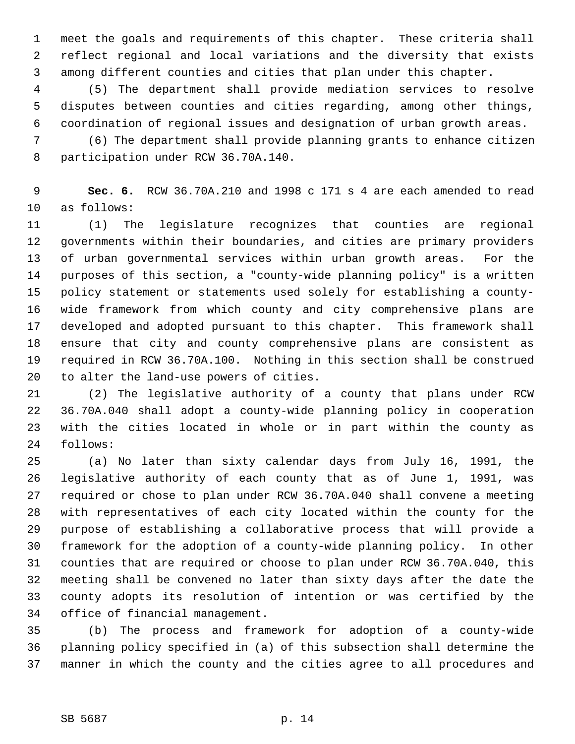1 meet the goals and requirements of this chapter. These criteria shall 2 reflect regional and local variations and the diversity that exists 3 among different counties and cities that plan under this chapter.

 4 (5) The department shall provide mediation services to resolve 5 disputes between counties and cities regarding, among other things, 6 coordination of regional issues and designation of urban growth areas.

 7 (6) The department shall provide planning grants to enhance citizen 8 participation under RCW 36.70A.140.

 9 **Sec. 6.** RCW 36.70A.210 and 1998 c 171 s 4 are each amended to read 10 as follows:

11 (1) The legislature recognizes that counties are regional 12 governments within their boundaries, and cities are primary providers 13 of urban governmental services within urban growth areas. For the 14 purposes of this section, a "county-wide planning policy" is a written 15 policy statement or statements used solely for establishing a county-16 wide framework from which county and city comprehensive plans are 17 developed and adopted pursuant to this chapter. This framework shall 18 ensure that city and county comprehensive plans are consistent as 19 required in RCW 36.70A.100. Nothing in this section shall be construed 20 to alter the land-use powers of cities.

21 (2) The legislative authority of a county that plans under RCW 22 36.70A.040 shall adopt a county-wide planning policy in cooperation 23 with the cities located in whole or in part within the county as 24 follows:

25 (a) No later than sixty calendar days from July 16, 1991, the 26 legislative authority of each county that as of June 1, 1991, was 27 required or chose to plan under RCW 36.70A.040 shall convene a meeting 28 with representatives of each city located within the county for the 29 purpose of establishing a collaborative process that will provide a 30 framework for the adoption of a county-wide planning policy. In other 31 counties that are required or choose to plan under RCW 36.70A.040, this 32 meeting shall be convened no later than sixty days after the date the 33 county adopts its resolution of intention or was certified by the 34 office of financial management.

35 (b) The process and framework for adoption of a county-wide 36 planning policy specified in (a) of this subsection shall determine the 37 manner in which the county and the cities agree to all procedures and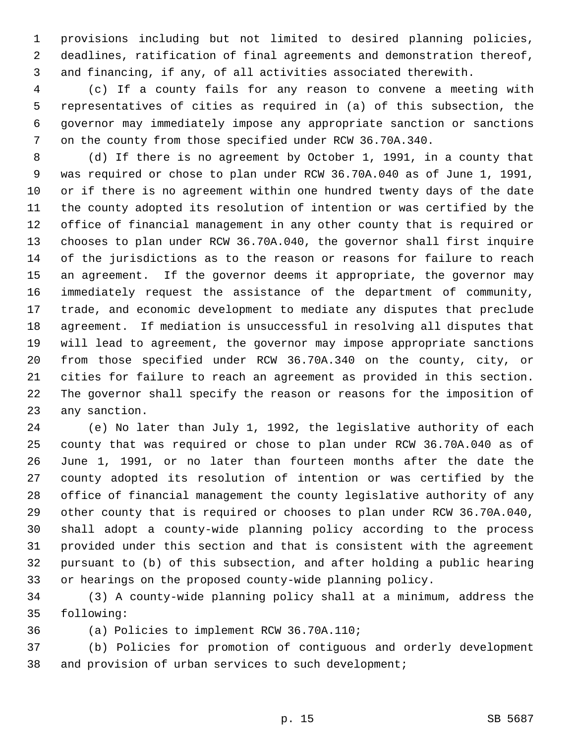1 provisions including but not limited to desired planning policies, 2 deadlines, ratification of final agreements and demonstration thereof, 3 and financing, if any, of all activities associated therewith.

 4 (c) If a county fails for any reason to convene a meeting with 5 representatives of cities as required in (a) of this subsection, the 6 governor may immediately impose any appropriate sanction or sanctions 7 on the county from those specified under RCW 36.70A.340.

 8 (d) If there is no agreement by October 1, 1991, in a county that 9 was required or chose to plan under RCW 36.70A.040 as of June 1, 1991, 10 or if there is no agreement within one hundred twenty days of the date 11 the county adopted its resolution of intention or was certified by the 12 office of financial management in any other county that is required or 13 chooses to plan under RCW 36.70A.040, the governor shall first inquire 14 of the jurisdictions as to the reason or reasons for failure to reach 15 an agreement. If the governor deems it appropriate, the governor may 16 immediately request the assistance of the department of community, 17 trade, and economic development to mediate any disputes that preclude 18 agreement. If mediation is unsuccessful in resolving all disputes that 19 will lead to agreement, the governor may impose appropriate sanctions 20 from those specified under RCW 36.70A.340 on the county, city, or 21 cities for failure to reach an agreement as provided in this section. 22 The governor shall specify the reason or reasons for the imposition of 23 any sanction.

24 (e) No later than July 1, 1992, the legislative authority of each 25 county that was required or chose to plan under RCW 36.70A.040 as of 26 June 1, 1991, or no later than fourteen months after the date the 27 county adopted its resolution of intention or was certified by the 28 office of financial management the county legislative authority of any 29 other county that is required or chooses to plan under RCW 36.70A.040, 30 shall adopt a county-wide planning policy according to the process 31 provided under this section and that is consistent with the agreement 32 pursuant to (b) of this subsection, and after holding a public hearing 33 or hearings on the proposed county-wide planning policy.

34 (3) A county-wide planning policy shall at a minimum, address the 35 following:

36 (a) Policies to implement RCW 36.70A.110;

37 (b) Policies for promotion of contiguous and orderly development 38 and provision of urban services to such development;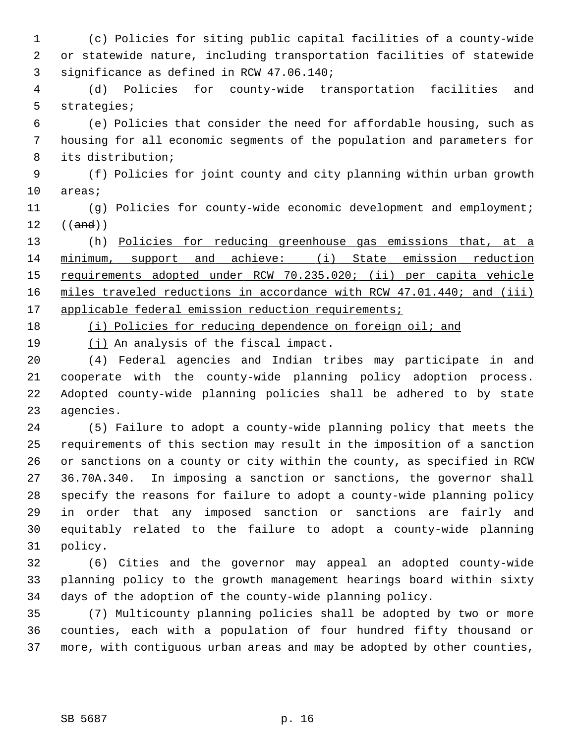1 (c) Policies for siting public capital facilities of a county-wide 2 or statewide nature, including transportation facilities of statewide 3 significance as defined in RCW 47.06.140;

 4 (d) Policies for county-wide transportation facilities and 5 strategies;

 6 (e) Policies that consider the need for affordable housing, such as 7 housing for all economic segments of the population and parameters for 8 its distribution;

 9 (f) Policies for joint county and city planning within urban growth 10 areas;

11 (g) Policies for county-wide economic development and employment; 12 ((and))

13 (h) Policies for reducing greenhouse gas emissions that, at a 14 minimum, support and achieve: (i) State emission reduction 15 requirements adopted under RCW 70.235.020; (ii) per capita vehicle 16 miles traveled reductions in accordance with RCW 47.01.440; and (iii) 17 applicable federal emission reduction requirements;

18 (i) Policies for reducing dependence on foreign oil; and

19 (j) An analysis of the fiscal impact.

20 (4) Federal agencies and Indian tribes may participate in and 21 cooperate with the county-wide planning policy adoption process. 22 Adopted county-wide planning policies shall be adhered to by state 23 agencies.

24 (5) Failure to adopt a county-wide planning policy that meets the 25 requirements of this section may result in the imposition of a sanction 26 or sanctions on a county or city within the county, as specified in RCW 27 36.70A.340. In imposing a sanction or sanctions, the governor shall 28 specify the reasons for failure to adopt a county-wide planning policy 29 in order that any imposed sanction or sanctions are fairly and 30 equitably related to the failure to adopt a county-wide planning 31 policy.

32 (6) Cities and the governor may appeal an adopted county-wide 33 planning policy to the growth management hearings board within sixty 34 days of the adoption of the county-wide planning policy.

35 (7) Multicounty planning policies shall be adopted by two or more 36 counties, each with a population of four hundred fifty thousand or 37 more, with contiguous urban areas and may be adopted by other counties,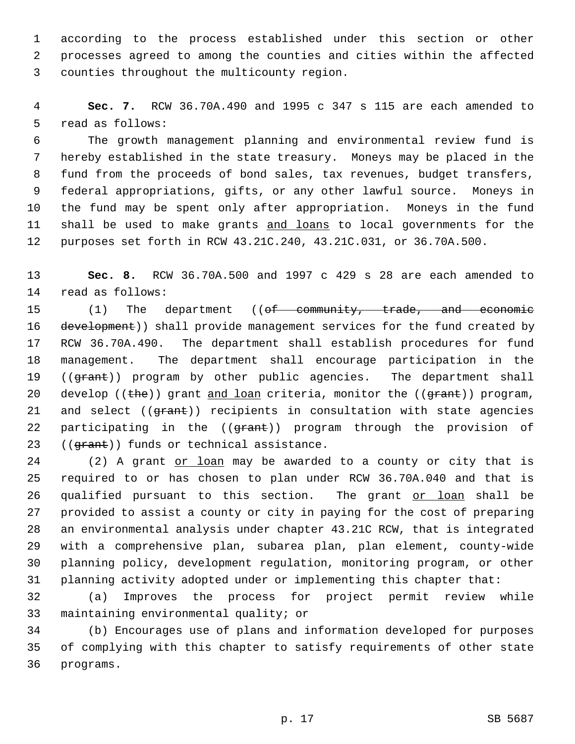1 according to the process established under this section or other 2 processes agreed to among the counties and cities within the affected 3 counties throughout the multicounty region.

 4 **Sec. 7.** RCW 36.70A.490 and 1995 c 347 s 115 are each amended to 5 read as follows:

 6 The growth management planning and environmental review fund is 7 hereby established in the state treasury. Moneys may be placed in the 8 fund from the proceeds of bond sales, tax revenues, budget transfers, 9 federal appropriations, gifts, or any other lawful source. Moneys in 10 the fund may be spent only after appropriation. Moneys in the fund 11 shall be used to make grants and loans to local governments for the 12 purposes set forth in RCW 43.21C.240, 43.21C.031, or 36.70A.500.

13 **Sec. 8.** RCW 36.70A.500 and 1997 c 429 s 28 are each amended to 14 read as follows:

15 (1) The department ((of community, trade, and economic 16 development)) shall provide management services for the fund created by 17 RCW 36.70A.490. The department shall establish procedures for fund 18 management. The department shall encourage participation in the 19 ((grant)) program by other public agencies. The department shall 20 develop  $(\theta)$  grant and loan criteria, monitor the  $(\theta)$  program, 21 and select ((grant)) recipients in consultation with state agencies 22 participating in the ((grant)) program through the provision of 23 ((grant)) funds or technical assistance.

24 (2) A grant or loan may be awarded to a county or city that is 25 required to or has chosen to plan under RCW 36.70A.040 and that is 26 qualified pursuant to this section. The grant or loan shall be 27 provided to assist a county or city in paying for the cost of preparing 28 an environmental analysis under chapter 43.21C RCW, that is integrated 29 with a comprehensive plan, subarea plan, plan element, county-wide 30 planning policy, development regulation, monitoring program, or other 31 planning activity adopted under or implementing this chapter that:

32 (a) Improves the process for project permit review while 33 maintaining environmental quality; or

34 (b) Encourages use of plans and information developed for purposes 35 of complying with this chapter to satisfy requirements of other state 36 programs.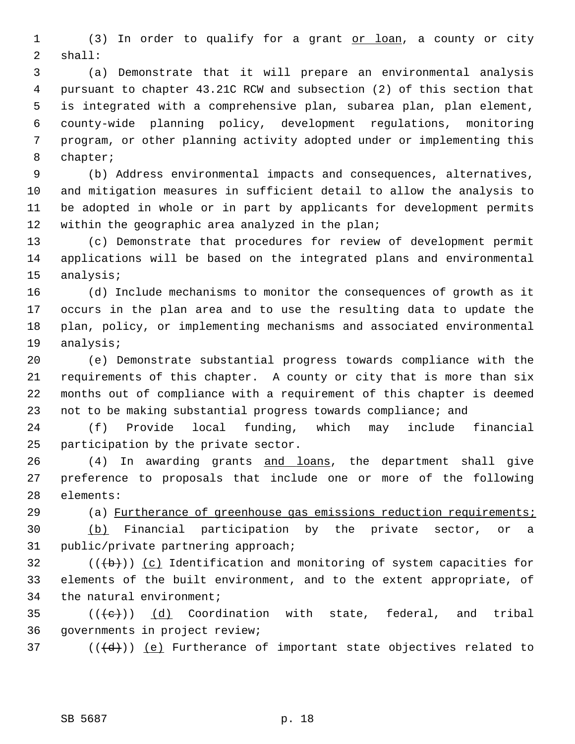1 (3) In order to qualify for a grant or loan, a county or city 2 shall:

 3 (a) Demonstrate that it will prepare an environmental analysis 4 pursuant to chapter 43.21C RCW and subsection (2) of this section that 5 is integrated with a comprehensive plan, subarea plan, plan element, 6 county-wide planning policy, development regulations, monitoring 7 program, or other planning activity adopted under or implementing this 8 chapter;

 9 (b) Address environmental impacts and consequences, alternatives, 10 and mitigation measures in sufficient detail to allow the analysis to 11 be adopted in whole or in part by applicants for development permits 12 within the geographic area analyzed in the plan;

13 (c) Demonstrate that procedures for review of development permit 14 applications will be based on the integrated plans and environmental 15 analysis;

16 (d) Include mechanisms to monitor the consequences of growth as it 17 occurs in the plan area and to use the resulting data to update the 18 plan, policy, or implementing mechanisms and associated environmental 19 analysis;

20 (e) Demonstrate substantial progress towards compliance with the 21 requirements of this chapter. A county or city that is more than six 22 months out of compliance with a requirement of this chapter is deemed 23 not to be making substantial progress towards compliance; and

24 (f) Provide local funding, which may include financial 25 participation by the private sector.

26 (4) In awarding grants and loans, the department shall give 27 preference to proposals that include one or more of the following 28 elements:

29 (a) Furtherance of greenhouse gas emissions reduction requirements;

30 (b) Financial participation by the private sector, or a 31 public/private partnering approach;

 $32$  (( $\left(\frac{b}{b}\right)$ ) (c) Identification and monitoring of system capacities for 33 elements of the built environment, and to the extent appropriate, of 34 the natural environment;

35  $((\langle e \rangle)(d)$  Coordination with state, federal, and tribal 36 governments in project review;

37  $((\{d\})\)$  (e) Furtherance of important state objectives related to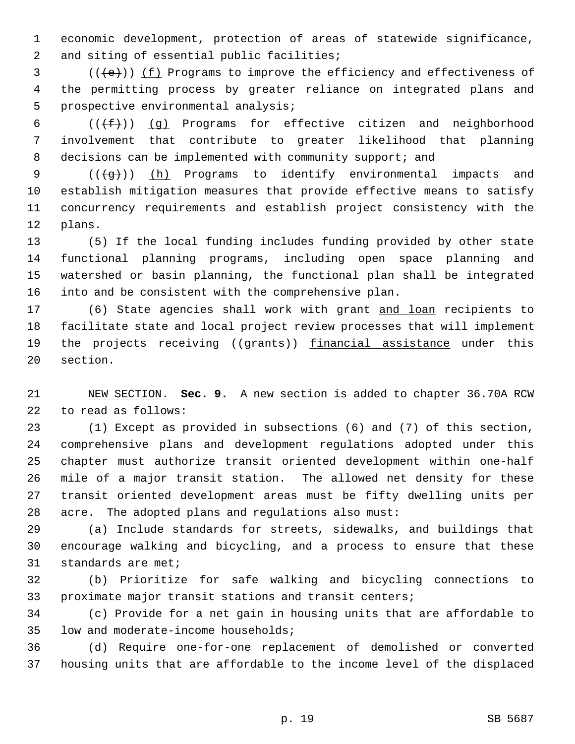1 economic development, protection of areas of statewide significance, 2 and siting of essential public facilities;

 $3$  (( $\left(\frac{1}{e}\right)$ ) (f) Programs to improve the efficiency and effectiveness of 4 the permitting process by greater reliance on integrated plans and 5 prospective environmental analysis;

6 ( $(\{\text{f}\})$ ) (g) Programs for effective citizen and neighborhood 7 involvement that contribute to greater likelihood that planning 8 decisions can be implemented with community support; and

9  $((\overline{q}))$  (h) Programs to identify environmental impacts and 10 establish mitigation measures that provide effective means to satisfy 11 concurrency requirements and establish project consistency with the 12 plans.

13 (5) If the local funding includes funding provided by other state 14 functional planning programs, including open space planning and 15 watershed or basin planning, the functional plan shall be integrated 16 into and be consistent with the comprehensive plan.

17 (6) State agencies shall work with grant and loan recipients to 18 facilitate state and local project review processes that will implement 19 the projects receiving ((grants)) financial assistance under this 20 section.

21 NEW SECTION. **Sec. 9.** A new section is added to chapter 36.70A RCW 22 to read as follows:

23 (1) Except as provided in subsections (6) and (7) of this section, 24 comprehensive plans and development regulations adopted under this 25 chapter must authorize transit oriented development within one-half 26 mile of a major transit station. The allowed net density for these 27 transit oriented development areas must be fifty dwelling units per 28 acre. The adopted plans and regulations also must:

29 (a) Include standards for streets, sidewalks, and buildings that 30 encourage walking and bicycling, and a process to ensure that these 31 standards are met;

32 (b) Prioritize for safe walking and bicycling connections to 33 proximate major transit stations and transit centers;

34 (c) Provide for a net gain in housing units that are affordable to 35 low and moderate-income households;

36 (d) Require one-for-one replacement of demolished or converted 37 housing units that are affordable to the income level of the displaced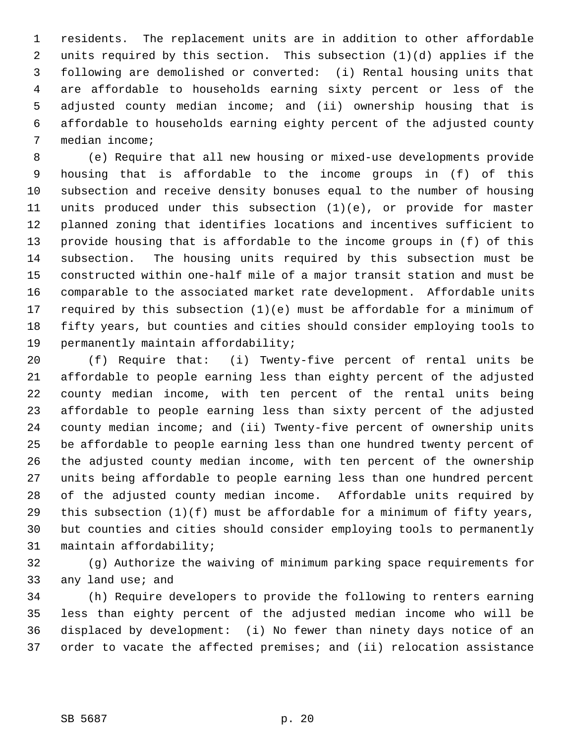1 residents. The replacement units are in addition to other affordable 2 units required by this section. This subsection (1)(d) applies if the 3 following are demolished or converted: (i) Rental housing units that 4 are affordable to households earning sixty percent or less of the 5 adjusted county median income; and (ii) ownership housing that is 6 affordable to households earning eighty percent of the adjusted county 7 median income;

 8 (e) Require that all new housing or mixed-use developments provide 9 housing that is affordable to the income groups in (f) of this 10 subsection and receive density bonuses equal to the number of housing 11 units produced under this subsection (1)(e), or provide for master 12 planned zoning that identifies locations and incentives sufficient to 13 provide housing that is affordable to the income groups in (f) of this 14 subsection. The housing units required by this subsection must be 15 constructed within one-half mile of a major transit station and must be 16 comparable to the associated market rate development. Affordable units 17 required by this subsection (1)(e) must be affordable for a minimum of 18 fifty years, but counties and cities should consider employing tools to 19 permanently maintain affordability;

20 (f) Require that: (i) Twenty-five percent of rental units be 21 affordable to people earning less than eighty percent of the adjusted 22 county median income, with ten percent of the rental units being 23 affordable to people earning less than sixty percent of the adjusted 24 county median income; and (ii) Twenty-five percent of ownership units 25 be affordable to people earning less than one hundred twenty percent of 26 the adjusted county median income, with ten percent of the ownership 27 units being affordable to people earning less than one hundred percent 28 of the adjusted county median income. Affordable units required by 29 this subsection  $(1)(f)$  must be affordable for a minimum of fifty years, 30 but counties and cities should consider employing tools to permanently 31 maintain affordability;

32 (g) Authorize the waiving of minimum parking space requirements for 33 any land use; and

34 (h) Require developers to provide the following to renters earning 35 less than eighty percent of the adjusted median income who will be 36 displaced by development: (i) No fewer than ninety days notice of an 37 order to vacate the affected premises; and (ii) relocation assistance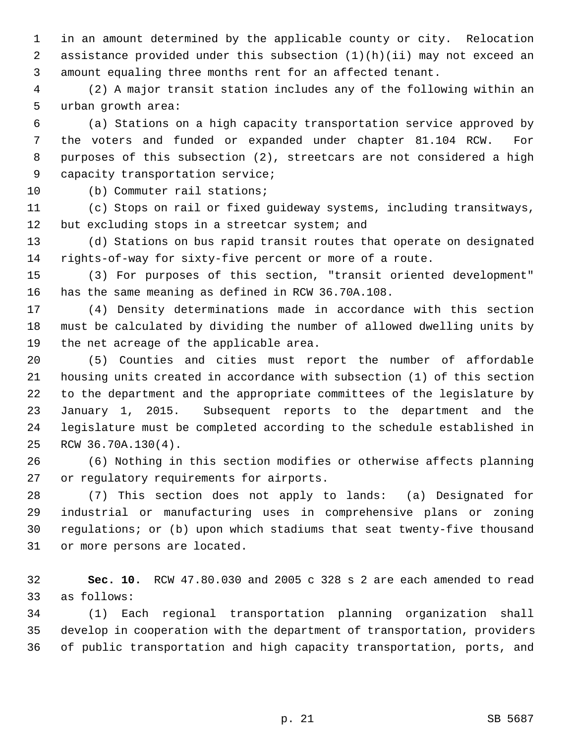1 in an amount determined by the applicable county or city. Relocation 2 assistance provided under this subsection (1)(h)(ii) may not exceed an 3 amount equaling three months rent for an affected tenant.

 4 (2) A major transit station includes any of the following within an 5 urban growth area:

 6 (a) Stations on a high capacity transportation service approved by 7 the voters and funded or expanded under chapter 81.104 RCW. For 8 purposes of this subsection (2), streetcars are not considered a high 9 capacity transportation service;

10 (b) Commuter rail stations;

11 (c) Stops on rail or fixed guideway systems, including transitways, 12 but excluding stops in a streetcar system; and

13 (d) Stations on bus rapid transit routes that operate on designated 14 rights-of-way for sixty-five percent or more of a route.

15 (3) For purposes of this section, "transit oriented development" 16 has the same meaning as defined in RCW 36.70A.108.

17 (4) Density determinations made in accordance with this section 18 must be calculated by dividing the number of allowed dwelling units by 19 the net acreage of the applicable area.

20 (5) Counties and cities must report the number of affordable 21 housing units created in accordance with subsection (1) of this section 22 to the department and the appropriate committees of the legislature by 23 January 1, 2015. Subsequent reports to the department and the 24 legislature must be completed according to the schedule established in 25 RCW 36.70A.130(4).

26 (6) Nothing in this section modifies or otherwise affects planning 27 or regulatory requirements for airports.

28 (7) This section does not apply to lands: (a) Designated for 29 industrial or manufacturing uses in comprehensive plans or zoning 30 regulations; or (b) upon which stadiums that seat twenty-five thousand 31 or more persons are located.

32 **Sec. 10.** RCW 47.80.030 and 2005 c 328 s 2 are each amended to read 33 as follows:

34 (1) Each regional transportation planning organization shall 35 develop in cooperation with the department of transportation, providers 36 of public transportation and high capacity transportation, ports, and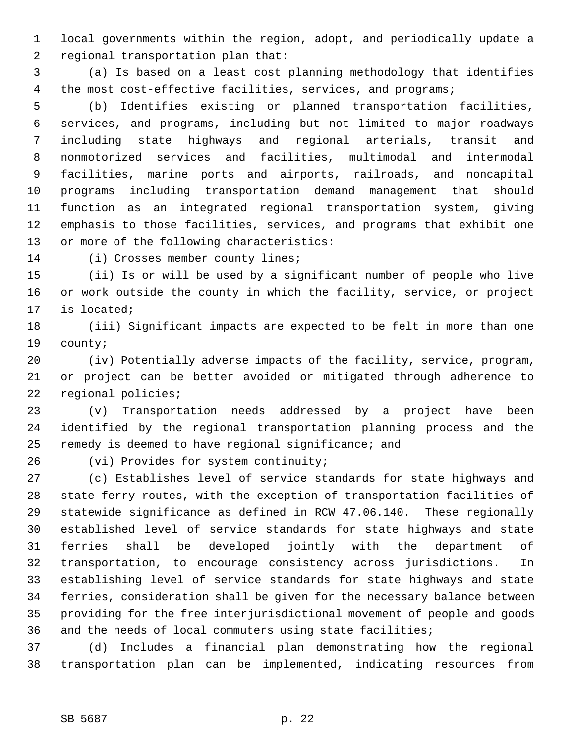1 local governments within the region, adopt, and periodically update a 2 regional transportation plan that:

 3 (a) Is based on a least cost planning methodology that identifies 4 the most cost-effective facilities, services, and programs;

 5 (b) Identifies existing or planned transportation facilities, 6 services, and programs, including but not limited to major roadways 7 including state highways and regional arterials, transit and 8 nonmotorized services and facilities, multimodal and intermodal 9 facilities, marine ports and airports, railroads, and noncapital 10 programs including transportation demand management that should 11 function as an integrated regional transportation system, giving 12 emphasis to those facilities, services, and programs that exhibit one 13 or more of the following characteristics:

14 (i) Crosses member county lines;

15 (ii) Is or will be used by a significant number of people who live 16 or work outside the county in which the facility, service, or project 17 is located;

18 (iii) Significant impacts are expected to be felt in more than one 19 county;

20 (iv) Potentially adverse impacts of the facility, service, program, 21 or project can be better avoided or mitigated through adherence to 22 regional policies;

23 (v) Transportation needs addressed by a project have been 24 identified by the regional transportation planning process and the 25 remedy is deemed to have regional significance; and

26 (vi) Provides for system continuity;

27 (c) Establishes level of service standards for state highways and 28 state ferry routes, with the exception of transportation facilities of 29 statewide significance as defined in RCW 47.06.140. These regionally 30 established level of service standards for state highways and state 31 ferries shall be developed jointly with the department of 32 transportation, to encourage consistency across jurisdictions. In 33 establishing level of service standards for state highways and state 34 ferries, consideration shall be given for the necessary balance between 35 providing for the free interjurisdictional movement of people and goods 36 and the needs of local commuters using state facilities;

37 (d) Includes a financial plan demonstrating how the regional 38 transportation plan can be implemented, indicating resources from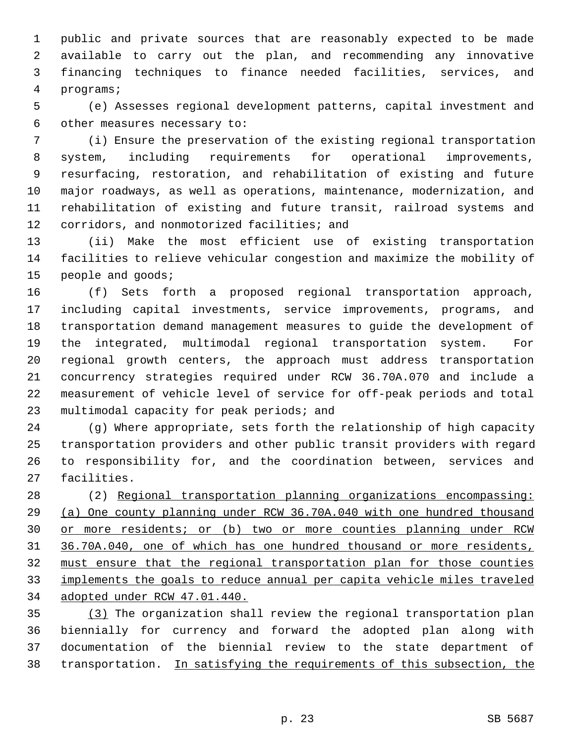1 public and private sources that are reasonably expected to be made 2 available to carry out the plan, and recommending any innovative 3 financing techniques to finance needed facilities, services, and 4 programs;

 5 (e) Assesses regional development patterns, capital investment and 6 other measures necessary to:

 7 (i) Ensure the preservation of the existing regional transportation 8 system, including requirements for operational improvements, 9 resurfacing, restoration, and rehabilitation of existing and future 10 major roadways, as well as operations, maintenance, modernization, and 11 rehabilitation of existing and future transit, railroad systems and 12 corridors, and nonmotorized facilities; and

13 (ii) Make the most efficient use of existing transportation 14 facilities to relieve vehicular congestion and maximize the mobility of 15 people and goods;

16 (f) Sets forth a proposed regional transportation approach, 17 including capital investments, service improvements, programs, and 18 transportation demand management measures to guide the development of 19 the integrated, multimodal regional transportation system. For 20 regional growth centers, the approach must address transportation 21 concurrency strategies required under RCW 36.70A.070 and include a 22 measurement of vehicle level of service for off-peak periods and total 23 multimodal capacity for peak periods; and

24 (g) Where appropriate, sets forth the relationship of high capacity 25 transportation providers and other public transit providers with regard 26 to responsibility for, and the coordination between, services and 27 facilities.

28 (2) Regional transportation planning organizations encompassing: (a) One county planning under RCW 36.70A.040 with one hundred thousand or more residents; or (b) two or more counties planning under RCW 36.70A.040, one of which has one hundred thousand or more residents, must ensure that the regional transportation plan for those counties implements the goals to reduce annual per capita vehicle miles traveled adopted under RCW 47.01.440.

35 (3) The organization shall review the regional transportation plan 36 biennially for currency and forward the adopted plan along with 37 documentation of the biennial review to the state department of 38 transportation. In satisfying the requirements of this subsection, the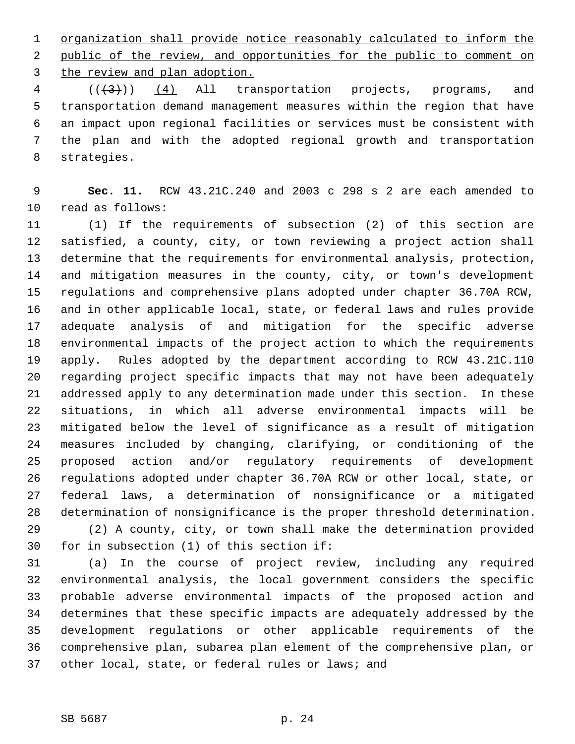1 organization shall provide notice reasonably calculated to inform the 2 public of the review, and opportunities for the public to comment on 3 the review and plan adoption.

 $4$   $((+3))$   $(4)$  All transportation projects, programs, and 5 transportation demand management measures within the region that have 6 an impact upon regional facilities or services must be consistent with 7 the plan and with the adopted regional growth and transportation 8 strategies.

 9 **Sec. 11.** RCW 43.21C.240 and 2003 c 298 s 2 are each amended to 10 read as follows:

11 (1) If the requirements of subsection (2) of this section are 12 satisfied, a county, city, or town reviewing a project action shall 13 determine that the requirements for environmental analysis, protection, 14 and mitigation measures in the county, city, or town's development 15 regulations and comprehensive plans adopted under chapter 36.70A RCW, 16 and in other applicable local, state, or federal laws and rules provide 17 adequate analysis of and mitigation for the specific adverse 18 environmental impacts of the project action to which the requirements 19 apply. Rules adopted by the department according to RCW 43.21C.110 20 regarding project specific impacts that may not have been adequately 21 addressed apply to any determination made under this section. In these 22 situations, in which all adverse environmental impacts will be 23 mitigated below the level of significance as a result of mitigation 24 measures included by changing, clarifying, or conditioning of the 25 proposed action and/or regulatory requirements of development 26 regulations adopted under chapter 36.70A RCW or other local, state, or 27 federal laws, a determination of nonsignificance or a mitigated 28 determination of nonsignificance is the proper threshold determination.

29 (2) A county, city, or town shall make the determination provided 30 for in subsection (1) of this section if:

31 (a) In the course of project review, including any required 32 environmental analysis, the local government considers the specific 33 probable adverse environmental impacts of the proposed action and 34 determines that these specific impacts are adequately addressed by the 35 development regulations or other applicable requirements of the 36 comprehensive plan, subarea plan element of the comprehensive plan, or 37 other local, state, or federal rules or laws; and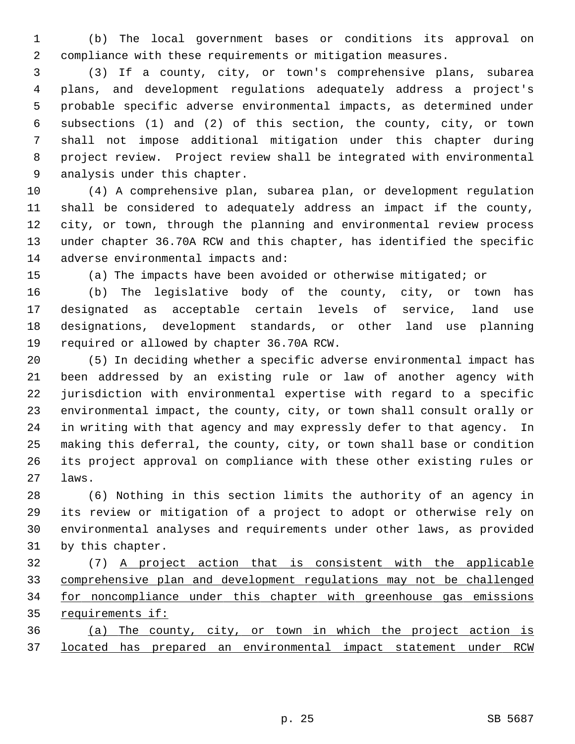1 (b) The local government bases or conditions its approval on 2 compliance with these requirements or mitigation measures.

 3 (3) If a county, city, or town's comprehensive plans, subarea 4 plans, and development regulations adequately address a project's 5 probable specific adverse environmental impacts, as determined under 6 subsections (1) and (2) of this section, the county, city, or town 7 shall not impose additional mitigation under this chapter during 8 project review. Project review shall be integrated with environmental 9 analysis under this chapter.

10 (4) A comprehensive plan, subarea plan, or development regulation 11 shall be considered to adequately address an impact if the county, 12 city, or town, through the planning and environmental review process 13 under chapter 36.70A RCW and this chapter, has identified the specific 14 adverse environmental impacts and:

15 (a) The impacts have been avoided or otherwise mitigated; or

16 (b) The legislative body of the county, city, or town has 17 designated as acceptable certain levels of service, land use 18 designations, development standards, or other land use planning 19 required or allowed by chapter 36.70A RCW.

20 (5) In deciding whether a specific adverse environmental impact has 21 been addressed by an existing rule or law of another agency with 22 jurisdiction with environmental expertise with regard to a specific 23 environmental impact, the county, city, or town shall consult orally or 24 in writing with that agency and may expressly defer to that agency. In 25 making this deferral, the county, city, or town shall base or condition 26 its project approval on compliance with these other existing rules or 27 laws.

28 (6) Nothing in this section limits the authority of an agency in 29 its review or mitigation of a project to adopt or otherwise rely on 30 environmental analyses and requirements under other laws, as provided 31 by this chapter.

32 (7) A project action that is consistent with the applicable comprehensive plan and development regulations may not be challenged for noncompliance under this chapter with greenhouse gas emissions requirements if:

36 (a) The county, city, or town in which the project action is 37 located has prepared an environmental impact statement under RCW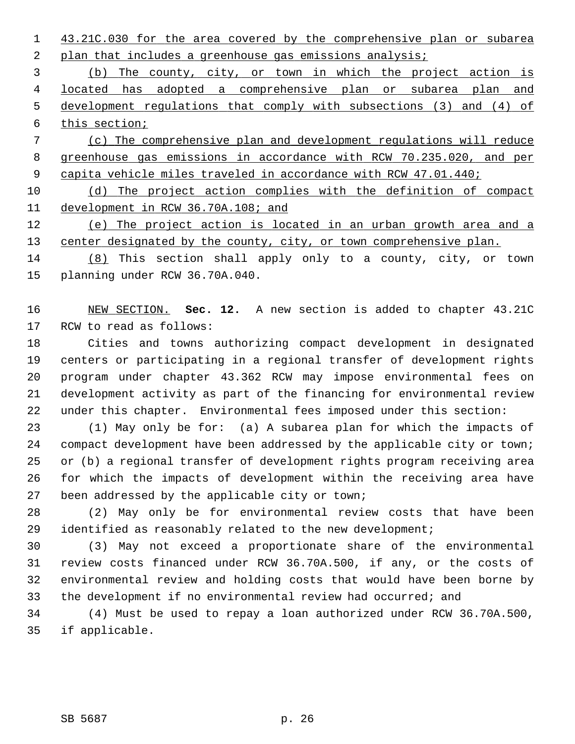1 43.21C.030 for the area covered by the comprehensive plan or subarea 2 plan that includes a greenhouse gas emissions analysis;

 (b) The county, city, or town in which the project action is located has adopted a comprehensive plan or subarea plan and development regulations that comply with subsections (3) and (4) of this section;

 7 (c) The comprehensive plan and development regulations will reduce 8 greenhouse gas emissions in accordance with RCW 70.235.020, and per 9 capita vehicle miles traveled in accordance with RCW 47.01.440;

10 (d) The project action complies with the definition of compact 11 development in RCW 36.70A.108; and

12 (e) The project action is located in an urban growth area and a 13 center designated by the county, city, or town comprehensive plan.

14 (8) This section shall apply only to a county, city, or town 15 planning under RCW 36.70A.040.

16 NEW SECTION. **Sec. 12.** A new section is added to chapter 43.21C 17 RCW to read as follows:

18 Cities and towns authorizing compact development in designated 19 centers or participating in a regional transfer of development rights 20 program under chapter 43.362 RCW may impose environmental fees on 21 development activity as part of the financing for environmental review 22 under this chapter. Environmental fees imposed under this section:

23 (1) May only be for: (a) A subarea plan for which the impacts of 24 compact development have been addressed by the applicable city or town; 25 or (b) a regional transfer of development rights program receiving area 26 for which the impacts of development within the receiving area have 27 been addressed by the applicable city or town;

28 (2) May only be for environmental review costs that have been 29 identified as reasonably related to the new development;

30 (3) May not exceed a proportionate share of the environmental 31 review costs financed under RCW 36.70A.500, if any, or the costs of 32 environmental review and holding costs that would have been borne by 33 the development if no environmental review had occurred; and

34 (4) Must be used to repay a loan authorized under RCW 36.70A.500, 35 if applicable.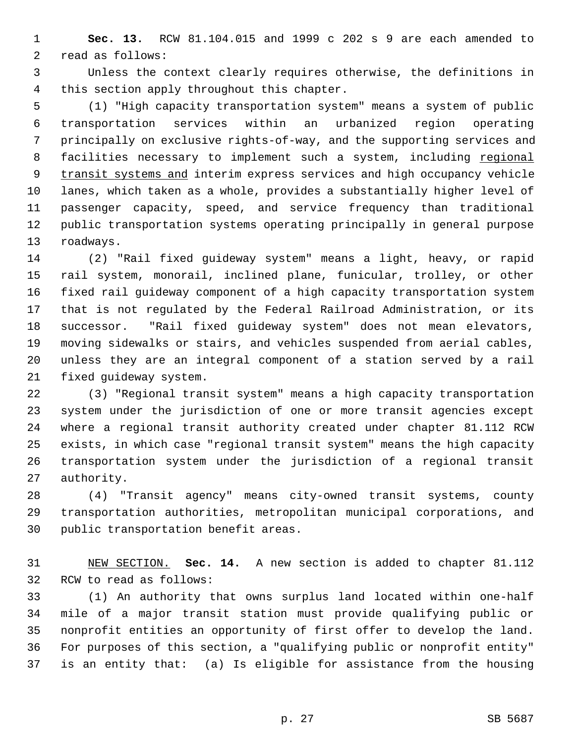1 **Sec. 13.** RCW 81.104.015 and 1999 c 202 s 9 are each amended to 2 read as follows:

 3 Unless the context clearly requires otherwise, the definitions in 4 this section apply throughout this chapter.

 5 (1) "High capacity transportation system" means a system of public 6 transportation services within an urbanized region operating 7 principally on exclusive rights-of-way, and the supporting services and 8 facilities necessary to implement such a system, including regional 9 transit systems and interim express services and high occupancy vehicle 10 lanes, which taken as a whole, provides a substantially higher level of 11 passenger capacity, speed, and service frequency than traditional 12 public transportation systems operating principally in general purpose 13 roadways.

14 (2) "Rail fixed guideway system" means a light, heavy, or rapid 15 rail system, monorail, inclined plane, funicular, trolley, or other 16 fixed rail guideway component of a high capacity transportation system 17 that is not regulated by the Federal Railroad Administration, or its 18 successor. "Rail fixed guideway system" does not mean elevators, 19 moving sidewalks or stairs, and vehicles suspended from aerial cables, 20 unless they are an integral component of a station served by a rail 21 fixed guideway system.

22 (3) "Regional transit system" means a high capacity transportation 23 system under the jurisdiction of one or more transit agencies except 24 where a regional transit authority created under chapter 81.112 RCW 25 exists, in which case "regional transit system" means the high capacity 26 transportation system under the jurisdiction of a regional transit 27 authority.

28 (4) "Transit agency" means city-owned transit systems, county 29 transportation authorities, metropolitan municipal corporations, and 30 public transportation benefit areas.

31 NEW SECTION. **Sec. 14.** A new section is added to chapter 81.112 32 RCW to read as follows:

33 (1) An authority that owns surplus land located within one-half 34 mile of a major transit station must provide qualifying public or 35 nonprofit entities an opportunity of first offer to develop the land. 36 For purposes of this section, a "qualifying public or nonprofit entity" 37 is an entity that: (a) Is eligible for assistance from the housing